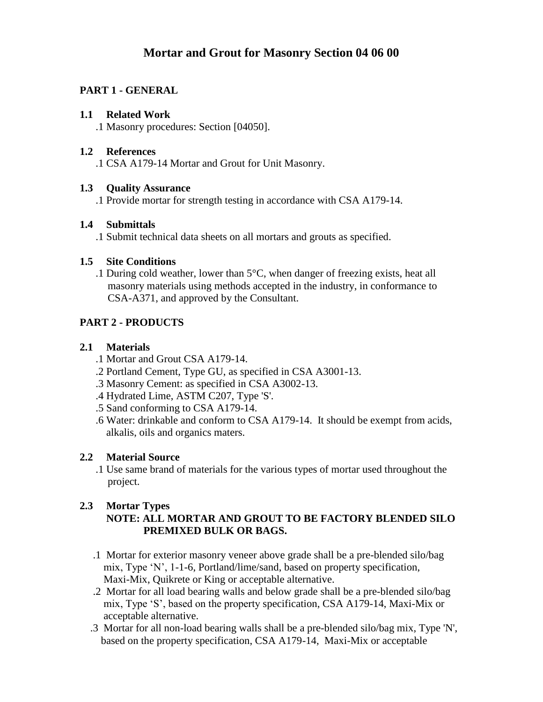# **Mortar and Grout for Masonry Section 04 06 00**

# **PART 1 - GENERAL**

#### **1.1 Related Work**

.1 Masonry procedures: Section [04050].

#### **1.2 References**

.1 CSA A179-14 Mortar and Grout for Unit Masonry.

#### **1.3 Quality Assurance**

.1 Provide mortar for strength testing in accordance with CSA A179-14.

#### **1.4 Submittals**

.1 Submit technical data sheets on all mortars and grouts as specified.

## **1.5 Site Conditions**

.1 During cold weather, lower than 5**°**C, when danger of freezing exists, heat all masonry materials using methods accepted in the industry, in conformance to CSA-A371, and approved by the Consultant.

# **PART 2 - PRODUCTS**

#### **2.1 Materials**

- .1 Mortar and Grout CSA A179-14.
- .2 Portland Cement, Type GU, as specified in CSA A3001-13.
- .3 Masonry Cement: as specified in CSA A3002-13.
- .4 Hydrated Lime, ASTM C207, Type 'S'.
- .5 Sand conforming to CSA A179-14.
- .6 Water: drinkable and conform to CSA A179-14. It should be exempt from acids, alkalis, oils and organics maters.

## **2.2 Material Source**

 .1 Use same brand of materials for the various types of mortar used throughout the project.

## **2.3 Mortar Types**

#### **NOTE: ALL MORTAR AND GROUT TO BE FACTORY BLENDED SILO PREMIXED BULK OR BAGS.**

- .1 Mortar for exterior masonry veneer above grade shall be a pre-blended silo/bag mix, Type 'N', 1-1-6, Portland/lime/sand, based on property specification, Maxi-Mix, Quikrete or King or acceptable alternative.
- .2 Mortar for all load bearing walls and below grade shall be a pre-blended silo/bag mix, Type 'S', based on the property specification, CSA A179-14, Maxi-Mix or acceptable alternative.
- .3 Mortar for all non-load bearing walls shall be a pre-blended silo/bag mix, Type 'N', based on the property specification, CSA A179-14, Maxi-Mix or acceptable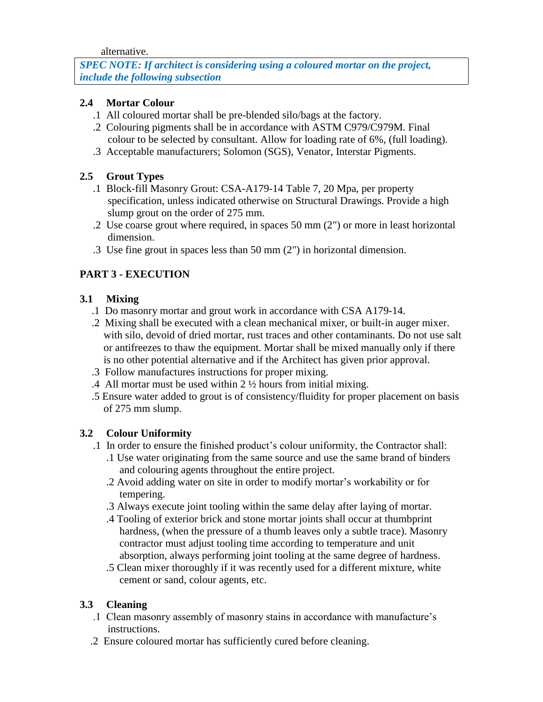alternative.

*SPEC NOTE: If architect is considering using a coloured mortar on the project, include the following subsection*

# **2.4 Mortar Colour**

- .1 All coloured mortar shall be pre-blended silo/bags at the factory.
- .2 Colouring pigments shall be in accordance with ASTM C979/C979M. Final colour to be selected by consultant. Allow for loading rate of 6%, (full loading).
- .3 Acceptable manufacturers; Solomon (SGS), Venator, Interstar Pigments.

# **2.5 Grout Types**

- .1 Block-fill Masonry Grout: CSA-A179-14 Table 7, 20 Mpa, per property specification, unless indicated otherwise on Structural Drawings. Provide a high slump grout on the order of 275 mm.
- .2 Use coarse grout where required, in spaces 50 mm (2") or more in least horizontal dimension.
- .3 Use fine grout in spaces less than 50 mm (2") in horizontal dimension.

# **PART 3 - EXECUTION**

## **3.1 Mixing**

- .1 Do masonry mortar and grout work in accordance with CSA A179-14.
- .2 Mixing shall be executed with a clean mechanical mixer, or built-in auger mixer. with silo, devoid of dried mortar, rust traces and other contaminants. Do not use salt or antifreezes to thaw the equipment. Mortar shall be mixed manually only if there is no other potential alternative and if the Architect has given prior approval.
- .3 Follow manufactures instructions for proper mixing.
- .4 All mortar must be used within 2 ½ hours from initial mixing.
- .5 Ensure water added to grout is of consistency/fluidity for proper placement on basis of 275 mm slump.

## **3.2 Colour Uniformity**

- .1 In order to ensure the finished product's colour uniformity, the Contractor shall:
	- .1 Use water originating from the same source and use the same brand of binders and colouring agents throughout the entire project.
	- .2 Avoid adding water on site in order to modify mortar's workability or for tempering.
	- .3 Always execute joint tooling within the same delay after laying of mortar.
	- .4 Tooling of exterior brick and stone mortar joints shall occur at thumbprint hardness, (when the pressure of a thumb leaves only a subtle trace). Masonry contractor must adjust tooling time according to temperature and unit absorption, always performing joint tooling at the same degree of hardness.
	- .5 Clean mixer thoroughly if it was recently used for a different mixture, white cement or sand, colour agents, etc.

## **3.3 Cleaning**

- .1 Clean masonry assembly of masonry stains in accordance with manufacture's instructions.
- .2 Ensure coloured mortar has sufficiently cured before cleaning.